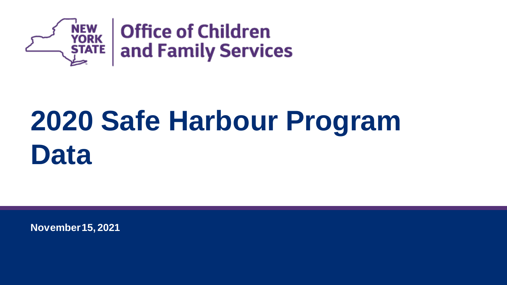

## **2020 Safe Harbour Program Data**

**November 15, 2021**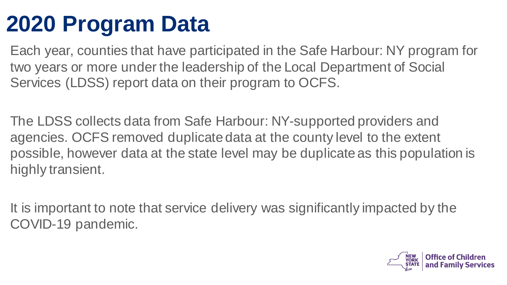#### **2020 Program Data**

Each year, counties that have participated in the Safe Harbour: NY program for two years or more under the leadership of the Local Department of Social Services (LDSS) report data on their program to OCFS.

The LDSS collects data from Safe Harbour: NY-supported providers and agencies. OCFS removed duplicate data at the county level to the extent possible, however data at the state level may be duplicate as this population is highly transient.

It is important to note that service delivery was significantly impacted by the COVID-19 pandemic.

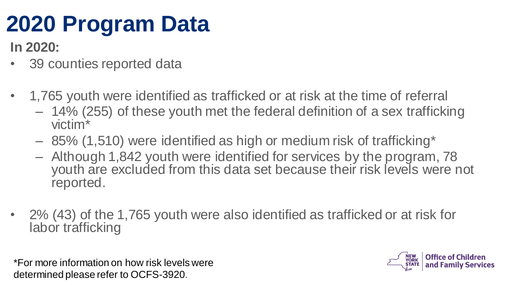#### **2020 Program Data**

**In 2020:**

- 39 counties reported data
- 1,765 youth were identified as trafficked or at risk at the time of referral
	- 14% (255) of these youth met the federal definition of a sex trafficking victim\*
	- 85% (1,510) were identified as high or medium risk of trafficking\*
	- Although 1,842 youth were identified for services by the program, 78 youth are excluded from this data set because their risk levels were not reported.
- 2% (43) of the 1,765 youth were also identified as trafficked or at risk for labor trafficking

\*For more information on how risk levels were determined please refer to OCFS-3920.

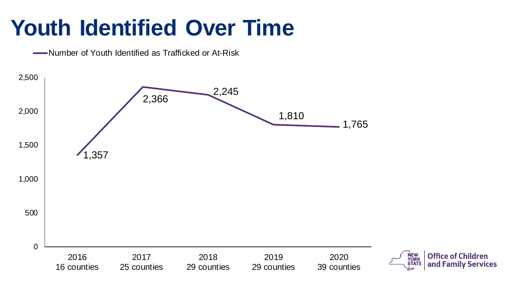#### **Youth Identified Over Time**

Number of Youth Identified as Trafficked or At-Risk

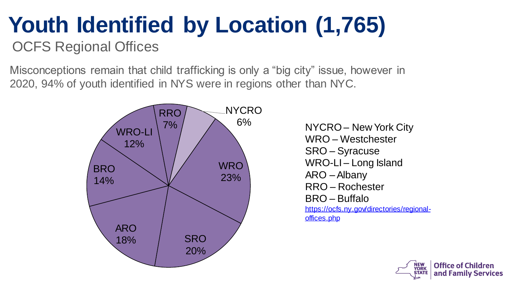# **Youth Identified by Location (1,765)**

OCFS Regional Offices

Misconceptions remain that child trafficking is only a "big city" issue, however in 2020, 94% of youth identified in NYS were in regions other than NYC.



6% NYCRO – New York City WRO – Westchester SRO – Syracuse WRO-LI – Long Island ARO –Albany RRO – Rochester BRO – Buffalo [https://ocfs.ny.gov/directories/regional](https://ocfs.ny.gov/directories/regional-offices.php)offices.php

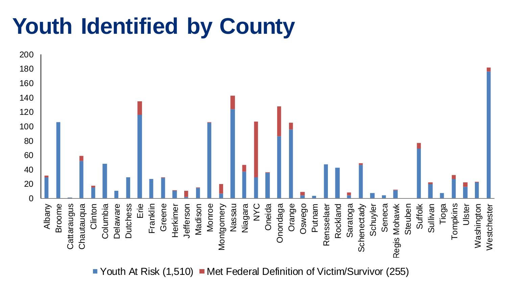#### **Youth Identified by County**



Youth At Risk  $(1,510)$  Met Federal Definition of Victim/Survivor (255)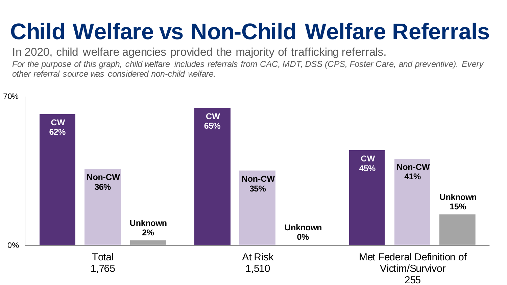#### **Child Welfare vs Non-Child Welfare Referrals**

In 2020, child welfare agencies provided the majority of trafficking referrals. *For the purpose of this graph, child welfare includes referrals from CAC, MDT, DSS (CPS, Foster Care, and preventive). Every other referral source was considered non-child welfare.* 

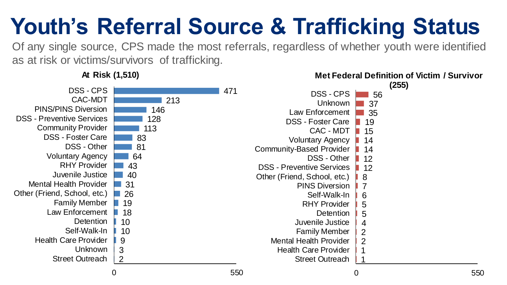### **Youth's Referral Source & Trafficking Status**

Of any single source, CPS made the most referrals, regardless of whether youth were identified as at risk or victims/survivors of trafficking.

2 3 9 10 10 18 19 26 31 40 43 64 81 83 113 128 146 213 471 Street Outreach Unknown Health Care Provider Self-Walk-In **Detention** Law Enforcement Family Member Other (Friend, School, etc.) Mental Health Provider Juvenile Justice RHY Provider Voluntary Agency DSS - Other DSS - Foster Care Community Provider DSS - Preventive Services PINS/PINS Diversion CAC-MDT DSS - CPS 1 1 2 2 4 5 5 6 7 8 12 12 14 14 15 19 35 37 56 Street Outreach Health Care Provider Mental Health Provider Family Member Juvenile Justice Detention RHY Provider Self-Walk-In PINS Diversion Other (Friend, School, etc.) DSS - Preventive Services DSS - Other Community-Based Provider Voluntary Agency CAC - MDT DSS - Foster Care Law Enforcement Unknown DSS - CPS **(255)**

0 550

**At Risk (1,510)**

0 550

**Met Federal Definition of Victim / Survivor**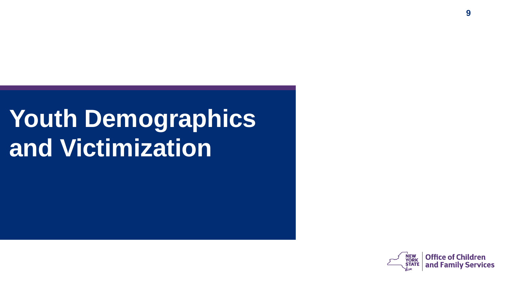## **Youth Demographics and Victimization**

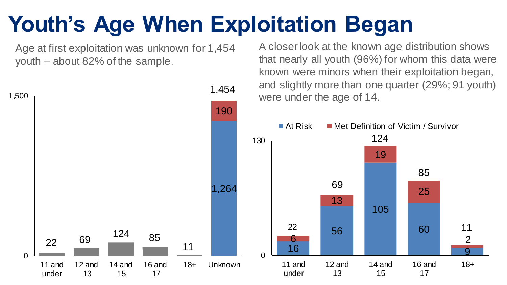#### **Youth's Age When Exploitation Began**

Age at first exploitation was unknown for 1,454 youth – about 82% of the sample.



A closer look at the known age distribution shows that nearly all youth (96%) for whom this data were known were minors when their exploitation began, and slightly more than one quarter (29%; 91 youth)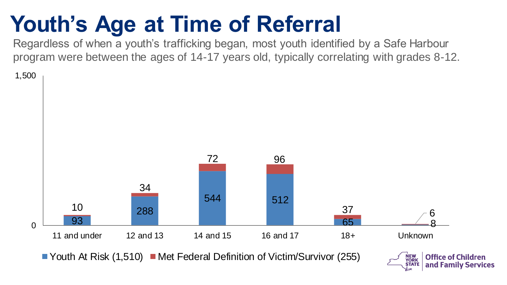#### **Youth's Age at Time of Referral**

Regardless of when a youth's trafficking began, most youth identified by a Safe Harbour program were between the ages of 14-17 years old, typically correlating with grades 8-12.

1,500



 $\blacksquare$  Youth At Risk (1,510)  $\blacksquare$  Met Federal Definition of Victim/Survivor (255)

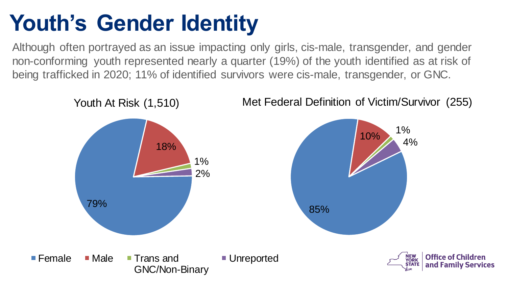#### **Youth's Gender Identity**

Although often portrayed as an issue impacting only girls, cis-male, transgender, and gender non-conforming youth represented nearly a quarter (19%) of the youth identified as at risk of being trafficked in 2020; 11% of identified survivors were cis-male, transgender, or GNC.

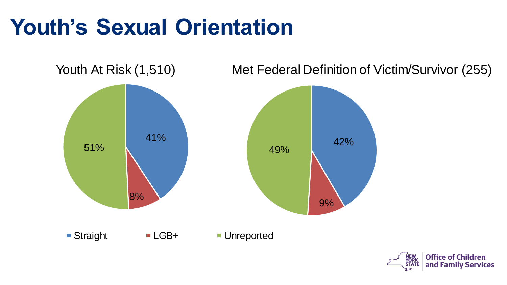#### **Youth's Sexual Orientation**



Youth At Risk (1,510) Met Federal Definition of Victim/Survivor (255)

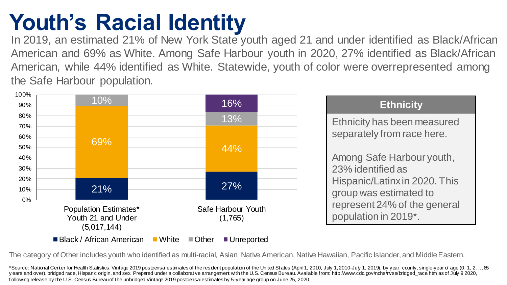#### **Youth's Racial Identity**

In 2019, an estimated 21% of New York State youth aged 21 and under identified as Black/African American and 69% as White. Among Safe Harbour youth in 2020, 27% identified as Black/African American, while 44% identified as White. Statewide, youth of color were overrepresented among the Safe Harbour population.



The category of Other includes youth who identified as multi-racial, Asian, Native American, Native Hawaiian, Pacific Islander, and Middle Eastern.

\*Source: National Center for Health Statistics. Vintage 2019 postcensal estimates of the resident population of the United States (April 1, 2010, July 1, 2010-July 1, 2019), by year, county, single-year of age (0, 1, 2, .. y ears and over), bridged race, Hispanic origin, and sex. Prepared under a collaborative arrangement with the U.S. Census Bureau.Available from: http://www.cdc.gov/nchs/nvss/bridged\_race.htm as of July 9 2020, f ollowing release by the U.S. Census Bureau of the unbridged Vintage 2019 postcensal estimates by 5-year age group on June 25, 2020.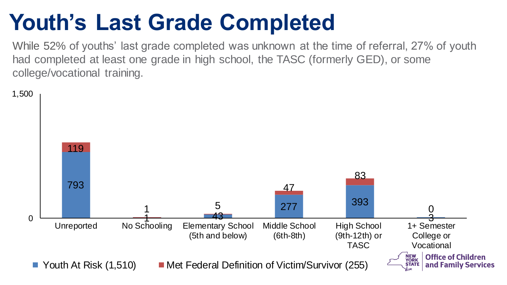#### **Youth's Last Grade Completed**

While 52% of youths' last grade completed was unknown at the time of referral, 27% of youth had completed at least one grade in high school, the TASC (formerly GED), or some college/vocational training.

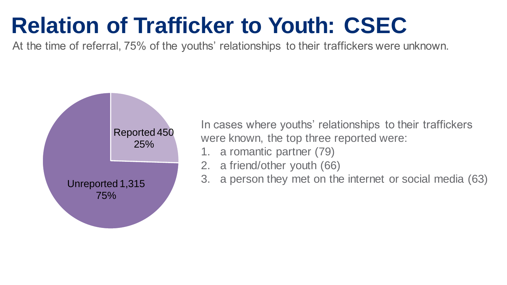#### **Relation of Trafficker to Youth: CSEC**

At the time of referral, 75% of the youths' relationships to their traffickers were unknown.



In cases where youths' relationships to their traffickers were known, the top three reported were:

- 1. a romantic partner (79)
- 2. a friend/other youth (66)
- 3. a person they met on the internet or social media (63)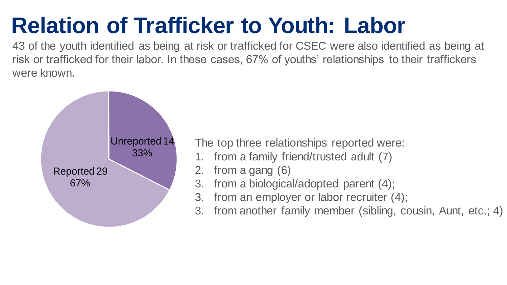#### **Relation of Trafficker to Youth: Labor**

43 of the youth identified as being at risk or trafficked for CSEC were also identified as being at risk or trafficked for their labor. In these cases, 67% of youths' relationships to their traffickers were known.



The top three relationships reported were:

- 1. from a family friend/trusted adult (7)
- 2. from a gang (6)
- 3. from a biological/adopted parent (4);
- 3. from an employer or labor recruiter (4);
- 3. from another family member (sibling, cousin, Aunt, etc.; 4)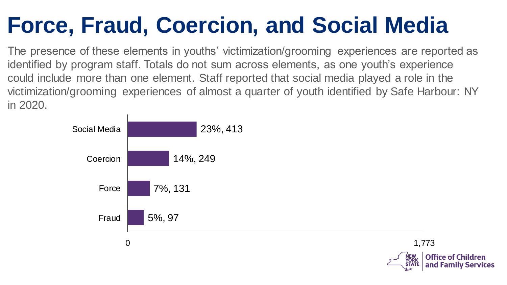#### **Force, Fraud, Coercion, and Social Media**

The presence of these elements in youths' victimization/grooming experiences are reported as identified by program staff. Totals do not sum across elements, as one youth's experience could include more than one element. Staff reported that social media played a role in the victimization/grooming experiences of almost a quarter of youth identified by Safe Harbour: NY in 2020.

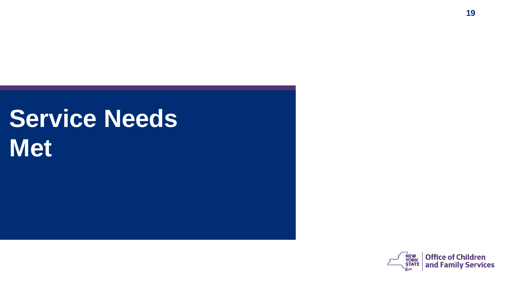## **Service Needs Met**

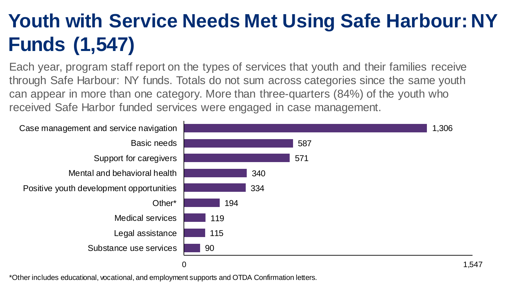#### **Youth with Service Needs Met Using Safe Harbour: NY Funds (1,547)**

Each year, program staff report on the types of services that youth and their families receive through Safe Harbour: NY funds. Totals do not sum across categories since the same youth can appear in more than one category. More than three-quarters (84%) of the youth who received Safe Harbor funded services were engaged in case management.



\*Other includes educational, vocational, and employment supports and OTDA Confirmation letters.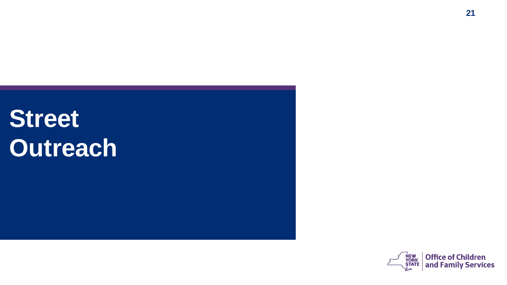## **Street Outreach**

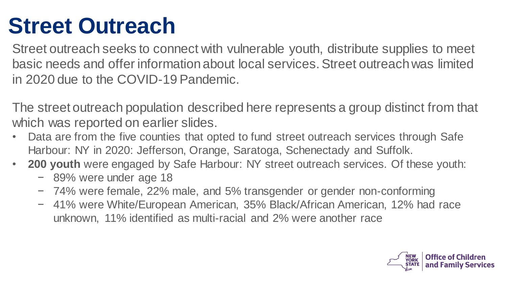#### **Street Outreach**

Street outreach seeks to connect with vulnerable youth, distribute supplies to meet basic needs and offer information about local services. Street outreach was limited in 2020 due to the COVID-19 Pandemic.

The street outreach population described here represents a group distinct from that which was reported on earlier slides.

- Data are from the five counties that opted to fund street outreach services through Safe Harbour: NY in 2020: Jefferson, Orange, Saratoga, Schenectady and Suffolk.
- **200 youth** were engaged by Safe Harbour: NY street outreach services. Of these youth:
	- − 89% were under age 18
	- − 74% were female, 22% male, and 5% transgender or gender non-conforming
	- − 41% were White/European American, 35% Black/African American, 12% had race unknown, 11% identified as multi-racial and 2% were another race

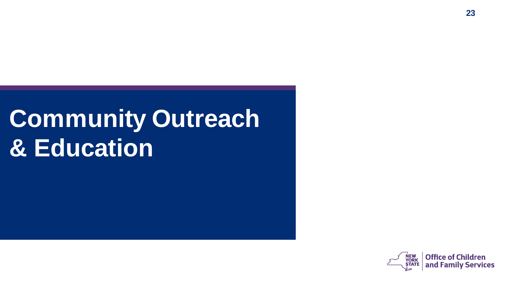## **Community Outreach & Education**

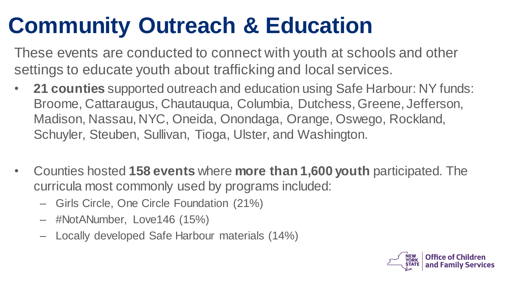#### **Community Outreach & Education**

These events are conducted to connect with youth at schools and other settings to educate youth about trafficking and local services.

- **21 counties** supported outreach and education using Safe Harbour: NY funds: Broome, Cattaraugus, Chautauqua, Columbia, Dutchess, Greene, Jefferson, Madison, Nassau, NYC, Oneida, Onondaga, Orange, Oswego, Rockland, Schuyler, Steuben, Sullivan, Tioga, Ulster, and Washington.
- Counties hosted **158 events** where **more than 1,600 youth** participated. The curricula most commonly used by programs included:
	- Girls Circle, One Circle Foundation (21%)
	- #NotANumber, Love146 (15%)
	- Locally developed Safe Harbour materials (14%)